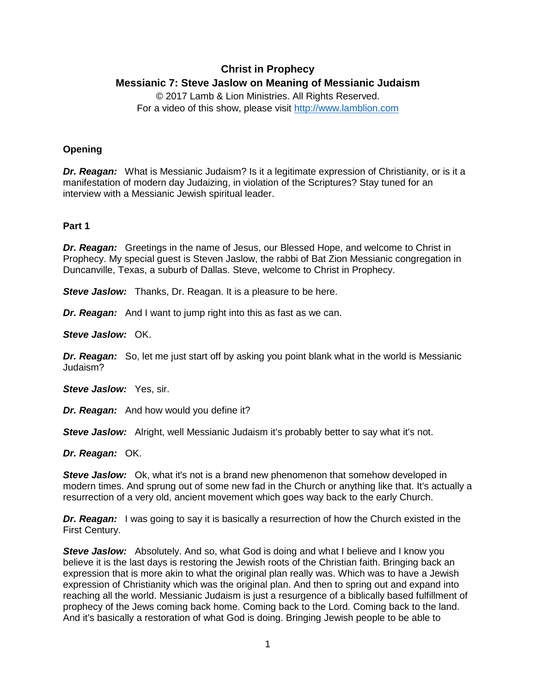# **Christ in Prophecy Messianic 7: Steve Jaslow on Meaning of Messianic Judaism**

© 2017 Lamb & Lion Ministries. All Rights Reserved. For a video of this show, please visit [http://www.lamblion.com](http://www.lamblion.com/)

# **Opening**

*Dr. Reagan:* What is Messianic Judaism? Is it a legitimate expression of Christianity, or is it a manifestation of modern day Judaizing, in violation of the Scriptures? Stay tuned for an interview with a Messianic Jewish spiritual leader.

# **Part 1**

*Dr. Reagan:* Greetings in the name of Jesus, our Blessed Hope, and welcome to Christ in Prophecy. My special guest is Steven Jaslow, the rabbi of Bat Zion Messianic congregation in Duncanville, Texas, a suburb of Dallas. Steve, welcome to Christ in Prophecy.

*Steve Jaslow:* Thanks, Dr. Reagan. It is a pleasure to be here.

*Dr. Reagan:* And I want to jump right into this as fast as we can.

*Steve Jaslow:* OK.

**Dr. Reagan:** So, let me just start off by asking you point blank what in the world is Messianic Judaism?

*Steve Jaslow:* Yes, sir.

*Dr. Reagan:* And how would you define it?

*Steve Jaslow:* Alright, well Messianic Judaism it's probably better to say what it's not.

*Dr. Reagan:* OK.

*Steve Jaslow:* Ok, what it's not is a brand new phenomenon that somehow developed in modern times. And sprung out of some new fad in the Church or anything like that. It's actually a resurrection of a very old, ancient movement which goes way back to the early Church.

**Dr. Reagan:** I was going to say it is basically a resurrection of how the Church existed in the First Century.

*Steve Jaslow:* Absolutely. And so, what God is doing and what I believe and I know you believe it is the last days is restoring the Jewish roots of the Christian faith. Bringing back an expression that is more akin to what the original plan really was. Which was to have a Jewish expression of Christianity which was the original plan. And then to spring out and expand into reaching all the world. Messianic Judaism is just a resurgence of a biblically based fulfillment of prophecy of the Jews coming back home. Coming back to the Lord. Coming back to the land. And it's basically a restoration of what God is doing. Bringing Jewish people to be able to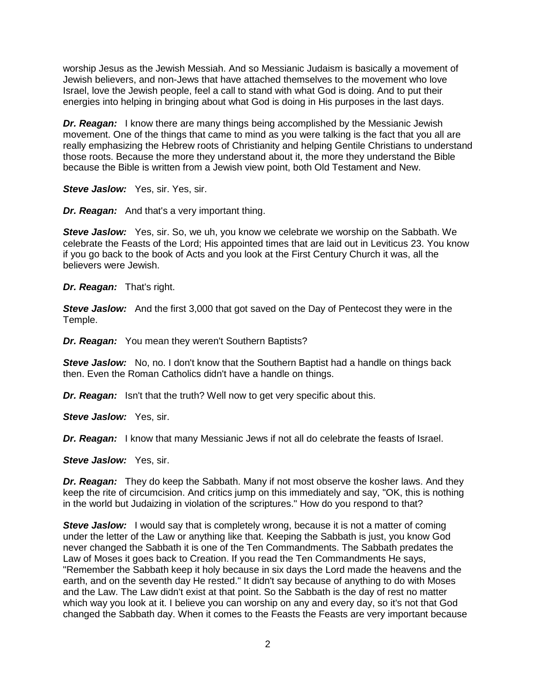worship Jesus as the Jewish Messiah. And so Messianic Judaism is basically a movement of Jewish believers, and non-Jews that have attached themselves to the movement who love Israel, love the Jewish people, feel a call to stand with what God is doing. And to put their energies into helping in bringing about what God is doing in His purposes in the last days.

*Dr. Reagan:* I know there are many things being accomplished by the Messianic Jewish movement. One of the things that came to mind as you were talking is the fact that you all are really emphasizing the Hebrew roots of Christianity and helping Gentile Christians to understand those roots. Because the more they understand about it, the more they understand the Bible because the Bible is written from a Jewish view point, both Old Testament and New.

*Steve Jaslow:* Yes, sir. Yes, sir.

*Dr. Reagan:* And that's a very important thing.

*Steve Jaslow:* Yes, sir. So, we uh, you know we celebrate we worship on the Sabbath. We celebrate the Feasts of the Lord; His appointed times that are laid out in Leviticus 23. You know if you go back to the book of Acts and you look at the First Century Church it was, all the believers were Jewish.

*Dr. Reagan:* That's right.

*Steve Jaslow:* And the first 3,000 that got saved on the Day of Pentecost they were in the Temple.

*Dr. Reagan:* You mean they weren't Southern Baptists?

*Steve Jaslow:* No, no. I don't know that the Southern Baptist had a handle on things back then. Even the Roman Catholics didn't have a handle on things.

*Dr. Reagan:* Isn't that the truth? Well now to get very specific about this.

*Steve Jaslow:* Yes, sir.

*Dr. Reagan:* I know that many Messianic Jews if not all do celebrate the feasts of Israel.

*Steve Jaslow:* Yes, sir.

*Dr. Reagan:* They do keep the Sabbath. Many if not most observe the kosher laws. And they keep the rite of circumcision. And critics jump on this immediately and say, "OK, this is nothing in the world but Judaizing in violation of the scriptures." How do you respond to that?

**Steve Jaslow:** I would say that is completely wrong, because it is not a matter of coming under the letter of the Law or anything like that. Keeping the Sabbath is just, you know God never changed the Sabbath it is one of the Ten Commandments. The Sabbath predates the Law of Moses it goes back to Creation. If you read the Ten Commandments He says, "Remember the Sabbath keep it holy because in six days the Lord made the heavens and the earth, and on the seventh day He rested." It didn't say because of anything to do with Moses and the Law. The Law didn't exist at that point. So the Sabbath is the day of rest no matter which way you look at it. I believe you can worship on any and every day, so it's not that God changed the Sabbath day. When it comes to the Feasts the Feasts are very important because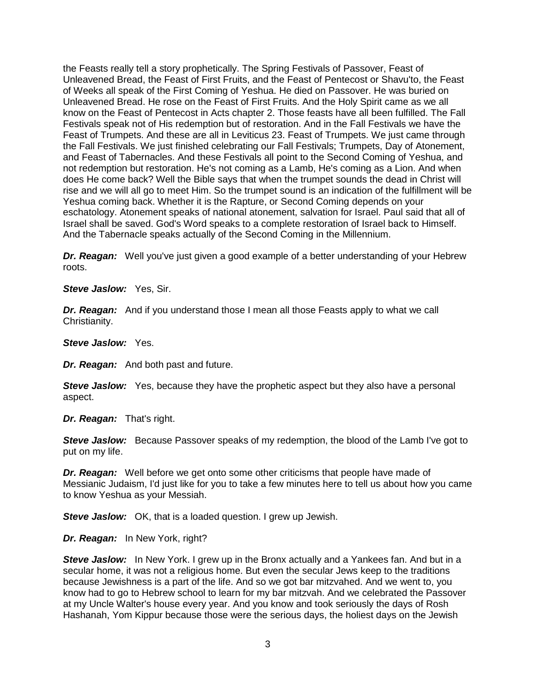the Feasts really tell a story prophetically. The Spring Festivals of Passover, Feast of Unleavened Bread, the Feast of First Fruits, and the Feast of Pentecost or Shavu'to, the Feast of Weeks all speak of the First Coming of Yeshua. He died on Passover. He was buried on Unleavened Bread. He rose on the Feast of First Fruits. And the Holy Spirit came as we all know on the Feast of Pentecost in Acts chapter 2. Those feasts have all been fulfilled. The Fall Festivals speak not of His redemption but of restoration. And in the Fall Festivals we have the Feast of Trumpets. And these are all in Leviticus 23. Feast of Trumpets. We just came through the Fall Festivals. We just finished celebrating our Fall Festivals; Trumpets, Day of Atonement, and Feast of Tabernacles. And these Festivals all point to the Second Coming of Yeshua, and not redemption but restoration. He's not coming as a Lamb, He's coming as a Lion. And when does He come back? Well the Bible says that when the trumpet sounds the dead in Christ will rise and we will all go to meet Him. So the trumpet sound is an indication of the fulfillment will be Yeshua coming back. Whether it is the Rapture, or Second Coming depends on your eschatology. Atonement speaks of national atonement, salvation for Israel. Paul said that all of Israel shall be saved. God's Word speaks to a complete restoration of Israel back to Himself. And the Tabernacle speaks actually of the Second Coming in the Millennium.

*Dr. Reagan:* Well you've just given a good example of a better understanding of your Hebrew roots.

*Steve Jaslow:* Yes, Sir.

*Dr. Reagan:* And if you understand those I mean all those Feasts apply to what we call Christianity.

*Steve Jaslow:* Yes.

*Dr. Reagan:* And both past and future.

*Steve Jaslow:* Yes, because they have the prophetic aspect but they also have a personal aspect.

*Dr. Reagan:* That's right.

*Steve Jaslow:* Because Passover speaks of my redemption, the blood of the Lamb I've got to put on my life.

*Dr. Reagan:* Well before we get onto some other criticisms that people have made of Messianic Judaism, I'd just like for you to take a few minutes here to tell us about how you came to know Yeshua as your Messiah.

*Steve Jaslow:* OK, that is a loaded question. I grew up Jewish.

*Dr. Reagan:* In New York, right?

*Steve Jaslow:* In New York. I grew up in the Bronx actually and a Yankees fan. And but in a secular home, it was not a religious home. But even the secular Jews keep to the traditions because Jewishness is a part of the life. And so we got bar mitzvahed. And we went to, you know had to go to Hebrew school to learn for my bar mitzvah. And we celebrated the Passover at my Uncle Walter's house every year. And you know and took seriously the days of Rosh Hashanah, Yom Kippur because those were the serious days, the holiest days on the Jewish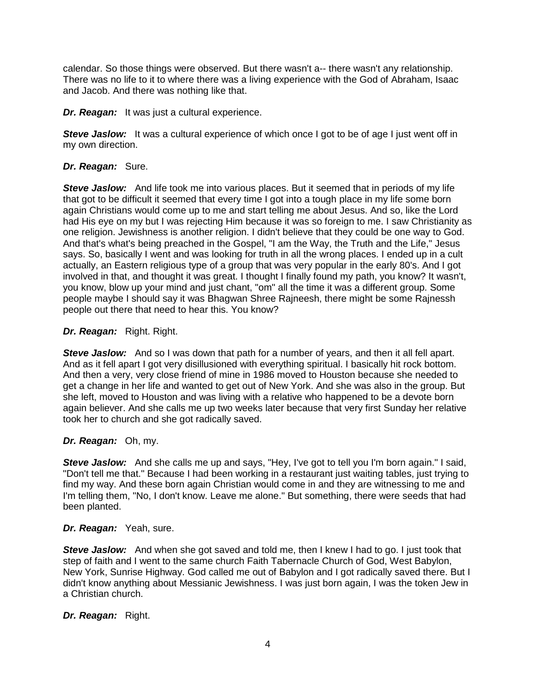calendar. So those things were observed. But there wasn't a-- there wasn't any relationship. There was no life to it to where there was a living experience with the God of Abraham, Isaac and Jacob. And there was nothing like that.

*Dr. Reagan:* It was just a cultural experience.

**Steve Jaslow:** It was a cultural experience of which once I got to be of age I just went off in my own direction.

### *Dr. Reagan:* Sure.

*Steve Jaslow:* And life took me into various places. But it seemed that in periods of my life that got to be difficult it seemed that every time I got into a tough place in my life some born again Christians would come up to me and start telling me about Jesus. And so, like the Lord had His eye on my but I was rejecting Him because it was so foreign to me. I saw Christianity as one religion. Jewishness is another religion. I didn't believe that they could be one way to God. And that's what's being preached in the Gospel, "I am the Way, the Truth and the Life," Jesus says. So, basically I went and was looking for truth in all the wrong places. I ended up in a cult actually, an Eastern religious type of a group that was very popular in the early 80's. And I got involved in that, and thought it was great. I thought I finally found my path, you know? It wasn't, you know, blow up your mind and just chant, "om" all the time it was a different group. Some people maybe I should say it was Bhagwan Shree Rajneesh, there might be some Rajnessh people out there that need to hear this. You know?

### *Dr. Reagan:* Right. Right.

**Steve Jaslow:** And so I was down that path for a number of years, and then it all fell apart. And as it fell apart I got very disillusioned with everything spiritual. I basically hit rock bottom. And then a very, very close friend of mine in 1986 moved to Houston because she needed to get a change in her life and wanted to get out of New York. And she was also in the group. But she left, moved to Houston and was living with a relative who happened to be a devote born again believer. And she calls me up two weeks later because that very first Sunday her relative took her to church and she got radically saved.

# *Dr. Reagan:* Oh, my.

*Steve Jaslow:* And she calls me up and says, "Hey, I've got to tell you I'm born again." I said, "Don't tell me that." Because I had been working in a restaurant just waiting tables, just trying to find my way. And these born again Christian would come in and they are witnessing to me and I'm telling them, "No, I don't know. Leave me alone." But something, there were seeds that had been planted.

### *Dr. Reagan:* Yeah, sure.

*Steve Jaslow:* And when she got saved and told me, then I knew I had to go. I just took that step of faith and I went to the same church Faith Tabernacle Church of God, West Babylon, New York, Sunrise Highway. God called me out of Babylon and I got radically saved there. But I didn't know anything about Messianic Jewishness. I was just born again, I was the token Jew in a Christian church.

*Dr. Reagan:* Right.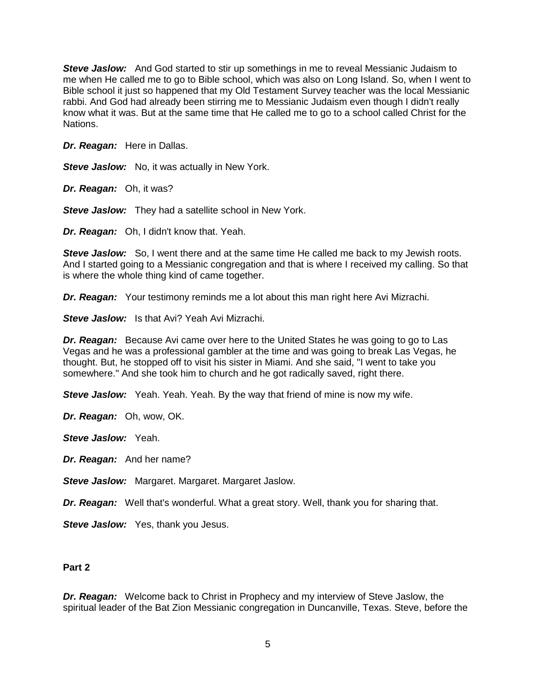*Steve Jaslow:* And God started to stir up somethings in me to reveal Messianic Judaism to me when He called me to go to Bible school, which was also on Long Island. So, when I went to Bible school it just so happened that my Old Testament Survey teacher was the local Messianic rabbi. And God had already been stirring me to Messianic Judaism even though I didn't really know what it was. But at the same time that He called me to go to a school called Christ for the Nations.

*Dr. Reagan:* Here in Dallas.

*Steve Jaslow:* No, it was actually in New York.

*Dr. Reagan:* Oh, it was?

*Steve Jaslow:* They had a satellite school in New York.

*Dr. Reagan:* Oh, I didn't know that. Yeah.

**Steve Jaslow:** So, I went there and at the same time He called me back to my Jewish roots. And I started going to a Messianic congregation and that is where I received my calling. So that is where the whole thing kind of came together.

*Dr. Reagan:* Your testimony reminds me a lot about this man right here Avi Mizrachi.

*Steve Jaslow:* Is that Avi? Yeah Avi Mizrachi.

*Dr. Reagan:* Because Avi came over here to the United States he was going to go to Las Vegas and he was a professional gambler at the time and was going to break Las Vegas, he thought. But, he stopped off to visit his sister in Miami. And she said, "I went to take you somewhere." And she took him to church and he got radically saved, right there.

*Steve Jaslow:* Yeah. Yeah. Yeah. By the way that friend of mine is now my wife.

*Dr. Reagan:* Oh, wow, OK.

*Steve Jaslow:* Yeah.

*Dr. Reagan:* And her name?

*Steve Jaslow:* Margaret. Margaret. Margaret Jaslow.

*Dr. Reagan:* Well that's wonderful. What a great story. Well, thank you for sharing that.

**Steve Jaslow:** Yes, thank you Jesus.

### **Part 2**

*Dr. Reagan:* Welcome back to Christ in Prophecy and my interview of Steve Jaslow, the spiritual leader of the Bat Zion Messianic congregation in Duncanville, Texas. Steve, before the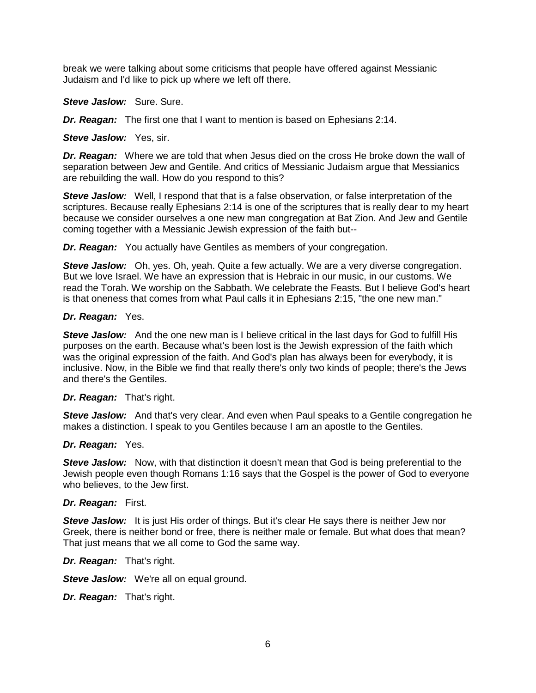break we were talking about some criticisms that people have offered against Messianic Judaism and I'd like to pick up where we left off there.

*Steve Jaslow:* Sure. Sure.

*Dr. Reagan:* The first one that I want to mention is based on Ephesians 2:14.

*Steve Jaslow:* Yes, sir.

*Dr. Reagan:* Where we are told that when Jesus died on the cross He broke down the wall of separation between Jew and Gentile. And critics of Messianic Judaism argue that Messianics are rebuilding the wall. How do you respond to this?

*Steve Jaslow:* Well, I respond that that is a false observation, or false interpretation of the scriptures. Because really Ephesians 2:14 is one of the scriptures that is really dear to my heart because we consider ourselves a one new man congregation at Bat Zion. And Jew and Gentile coming together with a Messianic Jewish expression of the faith but--

*Dr. Reagan:* You actually have Gentiles as members of your congregation.

**Steve Jaslow:** Oh, yes. Oh, yeah. Quite a few actually. We are a very diverse congregation. But we love Israel. We have an expression that is Hebraic in our music, in our customs. We read the Torah. We worship on the Sabbath. We celebrate the Feasts. But I believe God's heart is that oneness that comes from what Paul calls it in Ephesians 2:15, "the one new man."

### *Dr. Reagan:* Yes.

*Steve Jaslow:* And the one new man is I believe critical in the last days for God to fulfill His purposes on the earth. Because what's been lost is the Jewish expression of the faith which was the original expression of the faith. And God's plan has always been for everybody, it is inclusive. Now, in the Bible we find that really there's only two kinds of people; there's the Jews and there's the Gentiles.

### *Dr. Reagan:* That's right.

*Steve Jaslow:* And that's very clear. And even when Paul speaks to a Gentile congregation he makes a distinction. I speak to you Gentiles because I am an apostle to the Gentiles.

#### *Dr. Reagan:* Yes.

*Steve Jaslow:* Now, with that distinction it doesn't mean that God is being preferential to the Jewish people even though Romans 1:16 says that the Gospel is the power of God to everyone who believes, to the Jew first.

#### *Dr. Reagan:* First.

*Steve Jaslow:* It is just His order of things. But it's clear He says there is neither Jew nor Greek, there is neither bond or free, there is neither male or female. But what does that mean? That just means that we all come to God the same way.

*Dr. Reagan:* That's right.

*Steve Jaslow:* We're all on equal ground.

*Dr. Reagan:* That's right.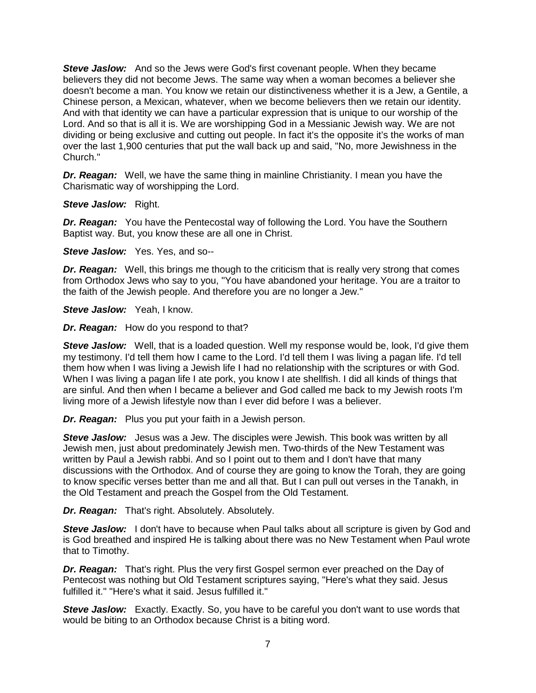*Steve Jaslow:* And so the Jews were God's first covenant people. When they became believers they did not become Jews. The same way when a woman becomes a believer she doesn't become a man. You know we retain our distinctiveness whether it is a Jew, a Gentile, a Chinese person, a Mexican, whatever, when we become believers then we retain our identity. And with that identity we can have a particular expression that is unique to our worship of the Lord. And so that is all it is. We are worshipping God in a Messianic Jewish way. We are not dividing or being exclusive and cutting out people. In fact it's the opposite it's the works of man over the last 1,900 centuries that put the wall back up and said, "No, more Jewishness in the Church."

*Dr. Reagan:* Well, we have the same thing in mainline Christianity. I mean you have the Charismatic way of worshipping the Lord.

*Steve Jaslow:* Right.

*Dr. Reagan:* You have the Pentecostal way of following the Lord. You have the Southern Baptist way. But, you know these are all one in Christ.

*Steve Jaslow:* Yes. Yes, and so--

**Dr. Reagan:** Well, this brings me though to the criticism that is really very strong that comes from Orthodox Jews who say to you, "You have abandoned your heritage. You are a traitor to the faith of the Jewish people. And therefore you are no longer a Jew."

*Steve Jaslow:* Yeah, I know.

*Dr. Reagan:* How do you respond to that?

**Steve Jaslow:** Well, that is a loaded question. Well my response would be, look, I'd give them my testimony. I'd tell them how I came to the Lord. I'd tell them I was living a pagan life. I'd tell them how when I was living a Jewish life I had no relationship with the scriptures or with God. When I was living a pagan life I ate pork, you know I ate shellfish. I did all kinds of things that are sinful. And then when I became a believer and God called me back to my Jewish roots I'm living more of a Jewish lifestyle now than I ever did before I was a believer.

*Dr. Reagan:* Plus you put your faith in a Jewish person.

*Steve Jaslow:* Jesus was a Jew. The disciples were Jewish. This book was written by all Jewish men, just about predominately Jewish men. Two-thirds of the New Testament was written by Paul a Jewish rabbi. And so I point out to them and I don't have that many discussions with the Orthodox. And of course they are going to know the Torah, they are going to know specific verses better than me and all that. But I can pull out verses in the Tanakh, in the Old Testament and preach the Gospel from the Old Testament.

*Dr. Reagan:* That's right. Absolutely. Absolutely.

**Steve Jaslow:** I don't have to because when Paul talks about all scripture is given by God and is God breathed and inspired He is talking about there was no New Testament when Paul wrote that to Timothy.

*Dr. Reagan:* That's right. Plus the very first Gospel sermon ever preached on the Day of Pentecost was nothing but Old Testament scriptures saying, "Here's what they said. Jesus fulfilled it." "Here's what it said. Jesus fulfilled it."

**Steve Jaslow:** Exactly. Exactly. So, you have to be careful you don't want to use words that would be biting to an Orthodox because Christ is a biting word.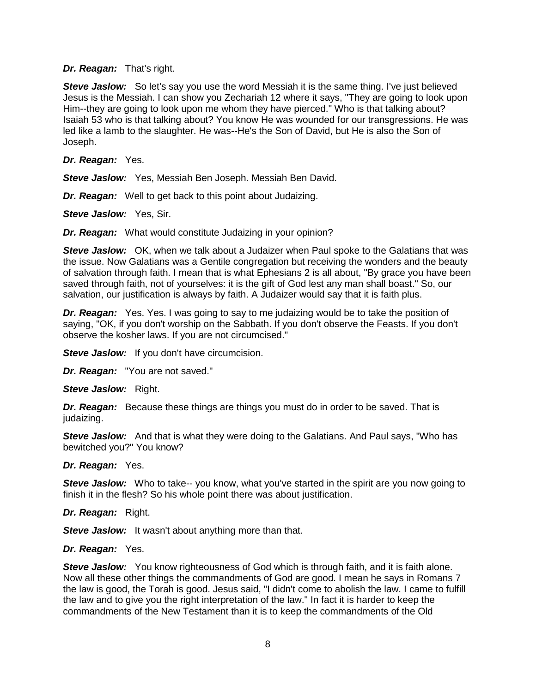### *Dr. Reagan:* That's right.

**Steve Jaslow:** So let's say you use the word Messiah it is the same thing. I've just believed Jesus is the Messiah. I can show you Zechariah 12 where it says, "They are going to look upon Him--they are going to look upon me whom they have pierced." Who is that talking about? Isaiah 53 who is that talking about? You know He was wounded for our transgressions. He was led like a lamb to the slaughter. He was--He's the Son of David, but He is also the Son of Joseph.

### *Dr. Reagan:* Yes.

*Steve Jaslow:* Yes, Messiah Ben Joseph. Messiah Ben David.

*Dr. Reagan:* Well to get back to this point about Judaizing.

*Steve Jaslow:* Yes, Sir.

*Dr. Reagan:* What would constitute Judaizing in your opinion?

*Steve Jaslow:* OK, when we talk about a Judaizer when Paul spoke to the Galatians that was the issue. Now Galatians was a Gentile congregation but receiving the wonders and the beauty of salvation through faith. I mean that is what Ephesians 2 is all about, "By grace you have been saved through faith, not of yourselves: it is the gift of God lest any man shall boast." So, our salvation, our justification is always by faith. A Judaizer would say that it is faith plus.

*Dr. Reagan:* Yes. Yes. I was going to say to me judaizing would be to take the position of saying, "OK, if you don't worship on the Sabbath. If you don't observe the Feasts. If you don't observe the kosher laws. If you are not circumcised."

**Steve Jaslow:** If you don't have circumcision.

*Dr. Reagan:* "You are not saved."

*Steve Jaslow:* Right.

*Dr. Reagan:* Because these things are things you must do in order to be saved. That is judaizing.

*Steve Jaslow:* And that is what they were doing to the Galatians. And Paul says, "Who has bewitched you?" You know?

*Dr. Reagan:* Yes.

**Steve Jaslow:** Who to take-- you know, what you've started in the spirit are you now going to finish it in the flesh? So his whole point there was about justification.

*Dr. Reagan:* Right.

*Steve Jaslow:* It wasn't about anything more than that.

#### *Dr. Reagan:* Yes.

*Steve Jaslow:* You know righteousness of God which is through faith, and it is faith alone. Now all these other things the commandments of God are good. I mean he says in Romans 7 the law is good, the Torah is good. Jesus said, "I didn't come to abolish the law. I came to fulfill the law and to give you the right interpretation of the law." In fact it is harder to keep the commandments of the New Testament than it is to keep the commandments of the Old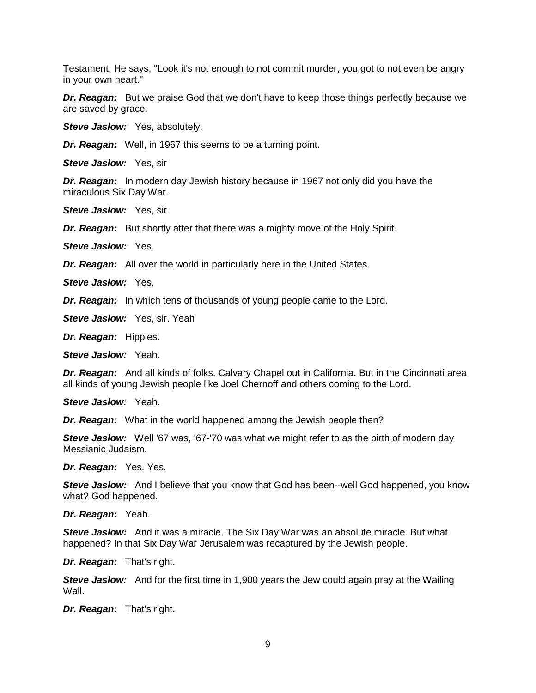Testament. He says, "Look it's not enough to not commit murder, you got to not even be angry in your own heart."

*Dr. Reagan:* But we praise God that we don't have to keep those things perfectly because we are saved by grace.

*Steve Jaslow:* Yes, absolutely.

*Dr. Reagan:* Well, in 1967 this seems to be a turning point.

*Steve Jaslow:* Yes, sir

*Dr. Reagan:* In modern day Jewish history because in 1967 not only did you have the miraculous Six Day War.

*Steve Jaslow:* Yes, sir.

*Dr. Reagan:* But shortly after that there was a mighty move of the Holy Spirit.

*Steve Jaslow:* Yes.

*Dr. Reagan:* All over the world in particularly here in the United States.

*Steve Jaslow:* Yes.

*Dr. Reagan:* In which tens of thousands of young people came to the Lord.

*Steve Jaslow:* Yes, sir. Yeah

*Dr. Reagan:* Hippies.

*Steve Jaslow:* Yeah.

*Dr. Reagan:* And all kinds of folks. Calvary Chapel out in California. But in the Cincinnati area all kinds of young Jewish people like Joel Chernoff and others coming to the Lord.

*Steve Jaslow:* Yeah.

*Dr. Reagan:* What in the world happened among the Jewish people then?

*Steve Jaslow:* Well '67 was, '67-'70 was what we might refer to as the birth of modern day Messianic Judaism.

*Dr. Reagan:* Yes. Yes.

**Steve Jaslow:** And I believe that you know that God has been--well God happened, you know what? God happened.

*Dr. Reagan:* Yeah.

*Steve Jaslow:* And it was a miracle. The Six Day War was an absolute miracle. But what happened? In that Six Day War Jerusalem was recaptured by the Jewish people.

*Dr. Reagan:* That's right.

**Steve Jaslow:** And for the first time in 1,900 years the Jew could again pray at the Wailing Wall.

*Dr. Reagan:* That's right.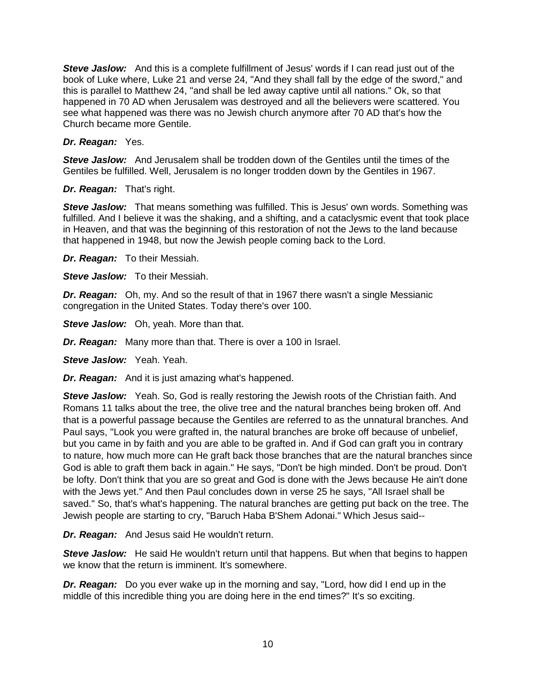*Steve Jaslow:* And this is a complete fulfillment of Jesus' words if I can read just out of the book of Luke where, Luke 21 and verse 24, "And they shall fall by the edge of the sword," and this is parallel to Matthew 24, "and shall be led away captive until all nations." Ok, so that happened in 70 AD when Jerusalem was destroyed and all the believers were scattered. You see what happened was there was no Jewish church anymore after 70 AD that's how the Church became more Gentile.

## *Dr. Reagan:* Yes.

*Steve Jaslow:* And Jerusalem shall be trodden down of the Gentiles until the times of the Gentiles be fulfilled. Well, Jerusalem is no longer trodden down by the Gentiles in 1967.

### *Dr. Reagan:* That's right.

**Steve Jaslow:** That means something was fulfilled. This is Jesus' own words. Something was fulfilled. And I believe it was the shaking, and a shifting, and a cataclysmic event that took place in Heaven, and that was the beginning of this restoration of not the Jews to the land because that happened in 1948, but now the Jewish people coming back to the Lord.

*Dr. Reagan:* To their Messiah.

*Steve Jaslow:* To their Messiah.

*Dr. Reagan:* Oh, my. And so the result of that in 1967 there wasn't a single Messianic congregation in the United States. Today there's over 100.

**Steve Jaslow:** Oh, yeah. More than that.

*Dr. Reagan:* Many more than that. There is over a 100 in Israel.

*Steve Jaslow:* Yeah. Yeah.

*Dr. Reagan:* And it is just amazing what's happened.

*Steve Jaslow:* Yeah. So, God is really restoring the Jewish roots of the Christian faith. And Romans 11 talks about the tree, the olive tree and the natural branches being broken off. And that is a powerful passage because the Gentiles are referred to as the unnatural branches. And Paul says, "Look you were grafted in, the natural branches are broke off because of unbelief, but you came in by faith and you are able to be grafted in. And if God can graft you in contrary to nature, how much more can He graft back those branches that are the natural branches since God is able to graft them back in again." He says, "Don't be high minded. Don't be proud. Don't be lofty. Don't think that you are so great and God is done with the Jews because He ain't done with the Jews yet." And then Paul concludes down in verse 25 he says, "All Israel shall be saved." So, that's what's happening. The natural branches are getting put back on the tree. The Jewish people are starting to cry, "Baruch Haba B'Shem Adonai." Which Jesus said--

*Dr. Reagan:* And Jesus said He wouldn't return.

**Steve Jaslow:** He said He wouldn't return until that happens. But when that begins to happen we know that the return is imminent. It's somewhere.

*Dr. Reagan:* Do you ever wake up in the morning and say, "Lord, how did I end up in the middle of this incredible thing you are doing here in the end times?" It's so exciting.